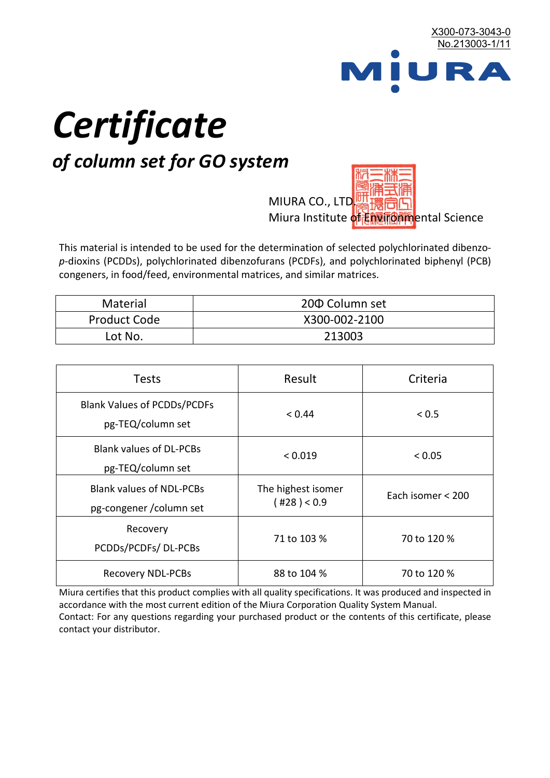

# *Certificate*

## *of column set for GO system*

MIURA CO., LTD. Miura Institute of 正版而解ental Science

This material is intended to be used for the determination of selected polychlorinated dibenzo*p*-dioxins (PCDDs), polychlorinated dibenzofurans (PCDFs), and polychlorinated biphenyl (PCB) congeners, in food/feed, environmental matrices, and similar matrices.

| <b>Material</b>     | 200 Column set |  |
|---------------------|----------------|--|
| <b>Product Code</b> | X300-002-2100  |  |
| Lot No.             | 213003         |  |

| <b>Tests</b>                                                | Result                            | Criteria          |  |
|-------------------------------------------------------------|-----------------------------------|-------------------|--|
| <b>Blank Values of PCDDs/PCDFs</b><br>pg-TEQ/column set     | < 0.44                            | < 0.5             |  |
| <b>Blank values of DL-PCBs</b><br>pg-TEQ/column set         | < 0.019                           | < 0.05            |  |
| <b>Blank values of NDL-PCBs</b><br>pg-congener / column set | The highest isomer<br>(428) < 0.9 | Each isomer < 200 |  |
| Recovery<br>PCDDs/PCDFs/DL-PCBs                             | 71 to 103 %                       | 70 to 120 %       |  |
| <b>Recovery NDL-PCBs</b>                                    | 88 to 104 %                       | 70 to 120 %       |  |

Miura certifies that this product complies with all quality specifications. It was produced and inspected in accordance with the most current edition of the Miura Corporation Quality System Manual. Contact: For any questions regarding your purchased product or the contents of this certificate, please contact your distributor.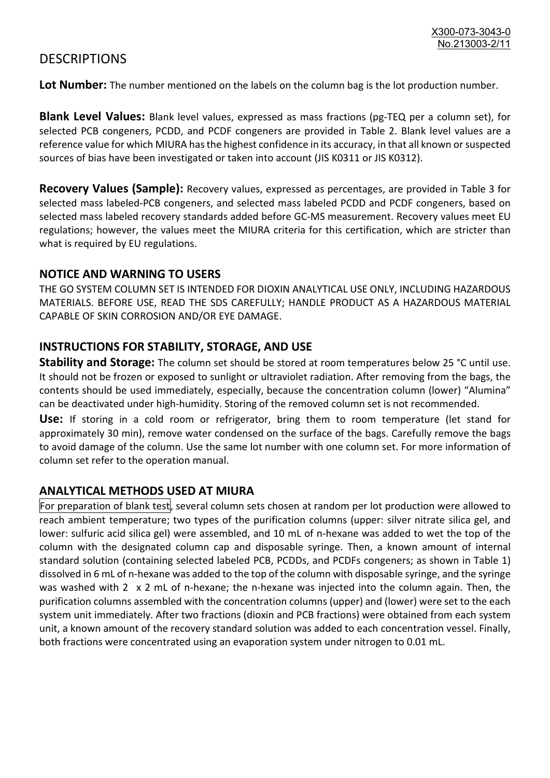### **DESCRIPTIONS**

**Lot Number:** The number mentioned on the labels on the column bag is the lot production number.

**Blank Level Values:** Blank level values, expressed as mass fractions (pg-TEQ per a column set), for selected PCB congeners, PCDD, and PCDF congeners are provided in Table 2. Blank level values are a reference value for which MIURA has the highest confidence in its accuracy, in that all known or suspected sources of bias have been investigated or taken into account (JIS K0311 or JIS K0312).

**Recovery Values (Sample):** Recovery values, expressed as percentages, are provided in Table 3 for selected mass labeled-PCB congeners, and selected mass labeled PCDD and PCDF congeners, based on selected mass labeled recovery standards added before GC-MS measurement. Recovery values meet EU regulations; however, the values meet the MIURA criteria for this certification, which are stricter than what is required by EU regulations.

#### **NOTICE AND WARNING TO USERS**

THE GO SYSTEM COLUMN SET IS INTENDED FOR DIOXIN ANALYTICAL USE ONLY, INCLUDING HAZARDOUS MATERIALS. BEFORE USE, READ THE SDS CAREFULLY; HANDLE PRODUCT AS A HAZARDOUS MATERIAL CAPABLE OF SKIN CORROSION AND/OR EYE DAMAGE.

#### **INSTRUCTIONS FOR STABILITY, STORAGE, AND USE**

**Stability and Storage:** The column set should be stored at room temperatures below 25 °C until use. It should not be frozen or exposed to sunlight or ultraviolet radiation. After removing from the bags, the contents should be used immediately, especially, because the concentration column (lower) "Alumina" can be deactivated under high-humidity. Storing of the removed column set is not recommended.

**Use:** If storing in a cold room or refrigerator, bring them to room temperature (let stand for approximately 30 min), remove water condensed on the surface of the bags. Carefully remove the bags to avoid damage of the column. Use the same lot number with one column set. For more information of column set refer to the operation manual.

#### **ANALYTICAL METHODS USED AT MIURA**

For preparation of blank test, several column sets chosen at random per lot production were allowed to reach ambient temperature; two types of the purification columns (upper: silver nitrate silica gel, and lower: sulfuric acid silica gel) were assembled, and 10 mL of n-hexane was added to wet the top of the column with the designated column cap and disposable syringe. Then, a known amount of internal standard solution (containing selected labeled PCB, PCDDs, and PCDFs congeners; as shown in Table 1) dissolved in 6 mL of n-hexane was added to the top of the column with disposable syringe, and the syringe was washed with 2 x 2 mL of n-hexane; the n-hexane was injected into the column again. Then, the purification columns assembled with the concentration columns (upper) and (lower) were set to the each system unit immediately. After two fractions (dioxin and PCB fractions) were obtained from each system unit, a known amount of the recovery standard solution was added to each concentration vessel. Finally, both fractions were concentrated using an evaporation system under nitrogen to 0.01 mL.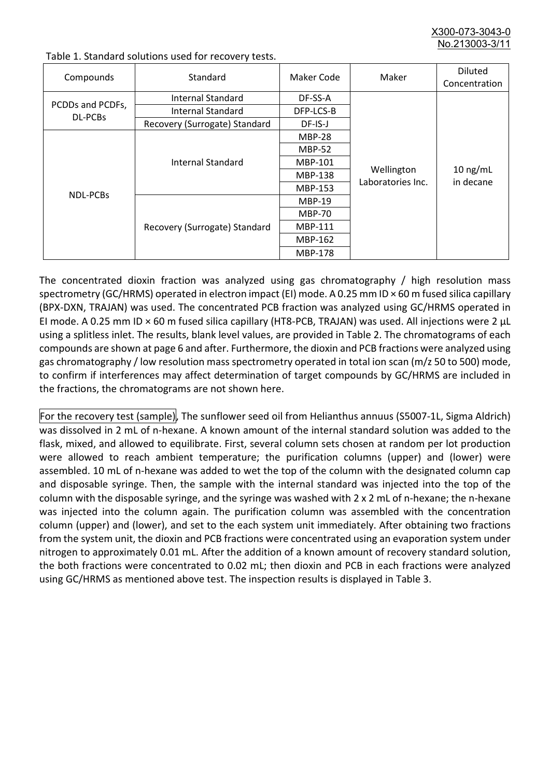X300-073-3043-0 No.213003-3/

| Compounds                   | Standard                      | Maker Code     | Maker                           | <b>Diluted</b><br>Concentration |
|-----------------------------|-------------------------------|----------------|---------------------------------|---------------------------------|
| PCDDs and PCDFs,<br>DL-PCBs | Internal Standard             | DF-SS-A        |                                 |                                 |
|                             | <b>Internal Standard</b>      | DFP-LCS-B      |                                 |                                 |
|                             | Recovery (Surrogate) Standard | DF-IS-J        | Wellington<br>Laboratories Inc. | $10$ ng/mL<br>in decane         |
| <b>NDL-PCBs</b>             | Internal Standard             | <b>MBP-28</b>  |                                 |                                 |
|                             |                               | <b>MBP-52</b>  |                                 |                                 |
|                             |                               | MBP-101        |                                 |                                 |
|                             |                               | <b>MBP-138</b> |                                 |                                 |
|                             |                               | MBP-153        |                                 |                                 |
|                             | Recovery (Surrogate) Standard | <b>MBP-19</b>  |                                 |                                 |
|                             |                               | <b>MBP-70</b>  |                                 |                                 |
|                             |                               | MBP-111        |                                 |                                 |
|                             |                               | MBP-162        |                                 |                                 |
|                             |                               | <b>MBP-178</b> |                                 |                                 |

Table 1. Standard solutions used for recovery tests.

The concentrated dioxin fraction was analyzed using gas chromatography / high resolution mass spectrometry (GC/HRMS) operated in electron impact (EI) mode. A 0.25 mm ID × 60 m fused silica capillary (BPX-DXN, TRAJAN) was used. The concentrated PCB fraction was analyzed using GC/HRMS operated in EI mode. A 0.25 mm ID × 60 m fused silica capillary (HT8-PCB, TRAJAN) was used. All injections were 2 μL using a splitless inlet. The results, blank level values, are provided in Table 2. The chromatograms of each compounds are shown at page 6 and after. Furthermore, the dioxin and PCB fractions were analyzed using gas chromatography / low resolution mass spectrometry operated in total ion scan (m/z 50 to 500) mode, to confirm if interferences may affect determination of target compounds by GC/HRMS are included in the fractions, the chromatograms are not shown here.

For the recovery test (sample), The sunflower seed oil from Helianthus annuus (S5007-1L, Sigma Aldrich) was dissolved in 2 mL of n-hexane. A known amount of the internal standard solution was added to the flask, mixed, and allowed to equilibrate. First, several column sets chosen at random per lot production were allowed to reach ambient temperature; the purification columns (upper) and (lower) were assembled. 10 mL of n-hexane was added to wet the top of the column with the designated column cap and disposable syringe. Then, the sample with the internal standard was injected into the top of the column with the disposable syringe, and the syringe was washed with 2 x 2 mL of n-hexane; the n-hexane was injected into the column again. The purification column was assembled with the concentration column (upper) and (lower), and set to the each system unit immediately. After obtaining two fractions from the system unit, the dioxin and PCB fractions were concentrated using an evaporation system under nitrogen to approximately 0.01 mL. After the addition of a known amount of recovery standard solution, the both fractions were concentrated to 0.02 mL; then dioxin and PCB in each fractions were analyzed using GC/HRMS as mentioned above test. The inspection results is displayed in Table 3.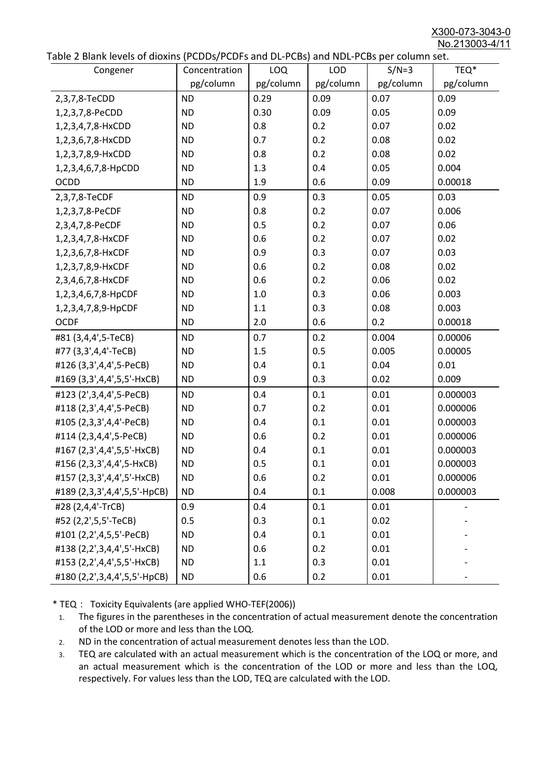X300-073-3043-0 No.213003-4/11

| able 2 Diarik levels of dioxins (FCDD3) FCDTs and DL-FCD3) and NDL-FCD3 per column set.<br>Congener | Concentration | LOQ       | <b>LOD</b> | $S/N=3$   | TEQ*      |
|-----------------------------------------------------------------------------------------------------|---------------|-----------|------------|-----------|-----------|
|                                                                                                     | pg/column     | pg/column | pg/column  | pg/column | pg/column |
| 2,3,7,8-TeCDD                                                                                       | <b>ND</b>     | 0.29      | 0.09       | 0.07      | 0.09      |
| 1,2,3,7,8-PeCDD                                                                                     | <b>ND</b>     | 0.30      | 0.09       | 0.05      | 0.09      |
| 1,2,3,4,7,8-HxCDD                                                                                   | <b>ND</b>     | 0.8       | 0.2        | 0.07      | 0.02      |
| 1,2,3,6,7,8-HxCDD                                                                                   | <b>ND</b>     | 0.7       | 0.2        | 0.08      | 0.02      |
| 1,2,3,7,8,9-HxCDD                                                                                   | <b>ND</b>     | 0.8       | 0.2        | 0.08      | 0.02      |
| 1,2,3,4,6,7,8-HpCDD                                                                                 | <b>ND</b>     | 1.3       | 0.4        | 0.05      | 0.004     |
| <b>OCDD</b>                                                                                         | <b>ND</b>     | 1.9       | 0.6        | 0.09      | 0.00018   |
| 2,3,7,8-TeCDF                                                                                       | <b>ND</b>     | 0.9       | 0.3        | 0.05      | 0.03      |
| 1,2,3,7,8-PeCDF                                                                                     | <b>ND</b>     | 0.8       | 0.2        | 0.07      | 0.006     |
| 2,3,4,7,8-PeCDF                                                                                     | <b>ND</b>     | 0.5       | 0.2        | 0.07      | 0.06      |
| 1,2,3,4,7,8-HxCDF                                                                                   | <b>ND</b>     | 0.6       | 0.2        | 0.07      | 0.02      |
| 1,2,3,6,7,8-HxCDF                                                                                   | <b>ND</b>     | 0.9       | 0.3        | 0.07      | 0.03      |
| 1,2,3,7,8,9-HxCDF                                                                                   | <b>ND</b>     | 0.6       | 0.2        | 0.08      | 0.02      |
| 2,3,4,6,7,8-HxCDF                                                                                   | <b>ND</b>     | 0.6       | 0.2        | 0.06      | 0.02      |
| 1,2,3,4,6,7,8-HpCDF                                                                                 | <b>ND</b>     | 1.0       | 0.3        | 0.06      | 0.003     |
| 1,2,3,4,7,8,9-HpCDF                                                                                 | <b>ND</b>     | 1.1       | 0.3        | 0.08      | 0.003     |
| <b>OCDF</b>                                                                                         | <b>ND</b>     | 2.0       | 0.6        | 0.2       | 0.00018   |
| #81 (3,4,4',5-TeCB)                                                                                 | <b>ND</b>     | 0.7       | 0.2        | 0.004     | 0.00006   |
| #77 (3,3',4,4'-TeCB)                                                                                | <b>ND</b>     | 1.5       | 0.5        | 0.005     | 0.00005   |
| #126 (3,3',4,4',5-PeCB)                                                                             | <b>ND</b>     | 0.4       | 0.1        | 0.04      | 0.01      |
| #169 (3,3',4,4',5,5'-HxCB)                                                                          | <b>ND</b>     | 0.9       | 0.3        | 0.02      | 0.009     |
| #123 (2',3,4,4',5-PeCB)                                                                             | <b>ND</b>     | 0.4       | 0.1        | 0.01      | 0.000003  |
| #118 (2,3',4,4',5-PeCB)                                                                             | <b>ND</b>     | 0.7       | 0.2        | 0.01      | 0.000006  |
| #105 (2,3,3',4,4'-PeCB)                                                                             | <b>ND</b>     | 0.4       | 0.1        | 0.01      | 0.000003  |
| #114 (2,3,4,4',5-PeCB)                                                                              | <b>ND</b>     | 0.6       | 0.2        | 0.01      | 0.000006  |
| #167 (2,3',4,4',5,5'-HxCB)                                                                          | <b>ND</b>     | 0.4       | 0.1        | 0.01      | 0.000003  |
| #156 (2,3,3',4,4',5-HxCB)                                                                           | <b>ND</b>     | 0.5       | 0.1        | 0.01      | 0.000003  |
| #157 (2,3,3',4,4',5'-HxCB)                                                                          | <b>ND</b>     | 0.6       | 0.2        | 0.01      | 0.000006  |
| #189 (2,3,3',4,4',5,5'-HpCB)                                                                        | <b>ND</b>     | 0.4       | 0.1        | 0.008     | 0.000003  |
| #28 (2,4,4'-TrCB)                                                                                   | 0.9           | 0.4       | 0.1        | 0.01      |           |
| #52 (2,2',5,5'-TeCB)                                                                                | 0.5           | 0.3       | 0.1        | 0.02      |           |
| #101 (2,2',4,5,5'-PeCB)                                                                             | <b>ND</b>     | 0.4       | 0.1        | 0.01      |           |
| #138 (2,2',3,4,4',5'-HxCB)                                                                          | <b>ND</b>     | 0.6       | 0.2        | 0.01      |           |
| #153 (2,2',4,4',5,5'-HxCB)                                                                          | <b>ND</b>     | 1.1       | 0.3        | 0.01      |           |
| #180 (2,2',3,4,4',5,5'-HpCB)                                                                        | <b>ND</b>     | 0.6       | 0.2        | 0.01      |           |

\* TEQ: Toxicity Equivalents (are applied WHO-TEF(2006))

- 1. The figures in the parentheses in the concentration of actual measurement denote the concentration of the LOD or more and less than the LOQ.
- 2. ND in the concentration of actual measurement denotes less than the LOD.
- 3. TEQ are calculated with an actual measurement which is the concentration of the LOQ or more, and an actual measurement which is the concentration of the LOD or more and less than the LOQ, respectively. For values less than the LOD, TEQ are calculated with the LOD.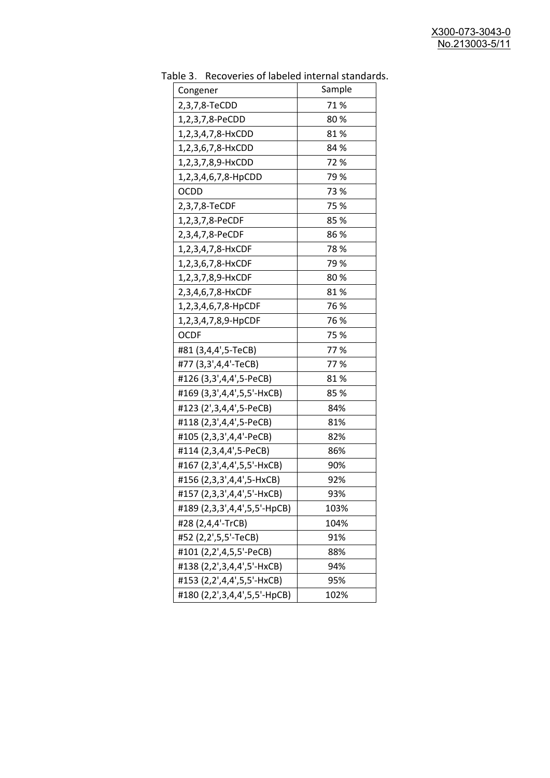| uwic J.<br>Recoveries of fabeled internal standar<br>Congener | Sample |  |  |
|---------------------------------------------------------------|--------|--|--|
| 2,3,7,8-TeCDD                                                 | 71%    |  |  |
| 1,2,3,7,8-PeCDD                                               | 80%    |  |  |
| 1,2,3,4,7,8-HxCDD                                             | 81%    |  |  |
| 1,2,3,6,7,8-HxCDD                                             | 84 %   |  |  |
| 1,2,3,7,8,9-HxCDD                                             | 72 %   |  |  |
| 1,2,3,4,6,7,8-HpCDD                                           | 79%    |  |  |
| <b>OCDD</b>                                                   | 73%    |  |  |
| 2,3,7,8-TeCDF                                                 | 75 %   |  |  |
| 1,2,3,7,8-PeCDF                                               | 85 %   |  |  |
| 2,3,4,7,8-PeCDF                                               | 86%    |  |  |
| 1,2,3,4,7,8-HxCDF                                             | 78%    |  |  |
| 1,2,3,6,7,8-HxCDF                                             | 79 %   |  |  |
| 1,2,3,7,8,9-HxCDF                                             | 80%    |  |  |
| 2,3,4,6,7,8-HxCDF                                             | 81%    |  |  |
| 1,2,3,4,6,7,8-HpCDF                                           | 76 %   |  |  |
| 1,2,3,4,7,8,9-HpCDF                                           | 76 %   |  |  |
| <b>OCDF</b>                                                   | 75 %   |  |  |
| #81 (3,4,4',5-TeCB)                                           | 77%    |  |  |
| #77 (3,3',4,4'-TeCB)                                          | 77%    |  |  |
| #126 (3,3',4,4',5-PeCB)                                       | 81%    |  |  |
| #169 (3,3',4,4',5,5'-HxCB)                                    | 85 %   |  |  |
| #123 (2',3,4,4',5-PeCB)                                       | 84%    |  |  |
| #118 (2,3',4,4',5-PeCB)                                       | 81%    |  |  |
| #105 (2,3,3',4,4'-PeCB)                                       | 82%    |  |  |
| #114 (2,3,4,4',5-PeCB)                                        | 86%    |  |  |
| #167 (2,3',4,4',5,5'-HxCB)                                    | 90%    |  |  |
| #156 (2,3,3',4,4',5-HxCB)                                     | 92%    |  |  |
| #157 (2,3,3',4,4',5'-HxCB)                                    | 93%    |  |  |
| #189 (2,3,3',4,4',5,5'-HpCB)                                  | 103%   |  |  |
| #28 (2,4,4'-TrCB)                                             | 104%   |  |  |
| #52 (2,2',5,5'-TeCB)                                          | 91%    |  |  |
| #101 (2,2',4,5,5'-PeCB)                                       | 88%    |  |  |
| #138 (2,2',3,4,4',5'-HxCB)                                    | 94%    |  |  |
| #153 (2,2',4,4',5,5'-HxCB)                                    | 95%    |  |  |
| #180 (2,2',3,4,4',5,5'-HpCB)                                  | 102%   |  |  |

Table 3. Recoveries of labeled internal standards.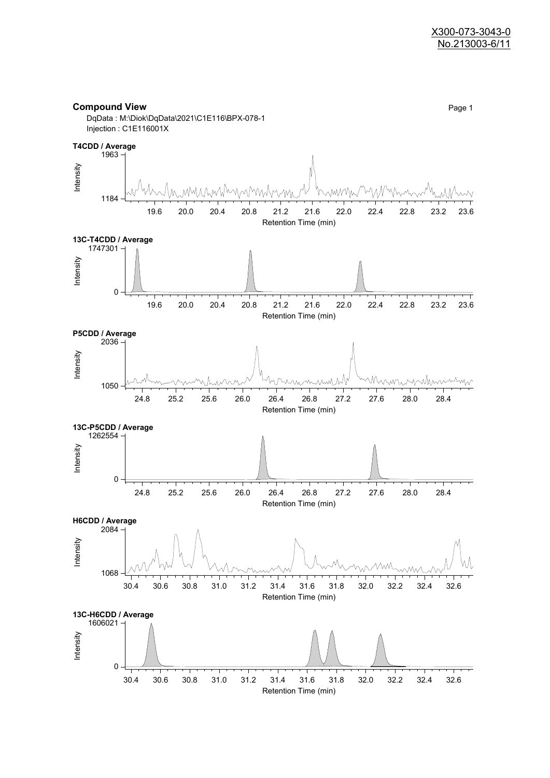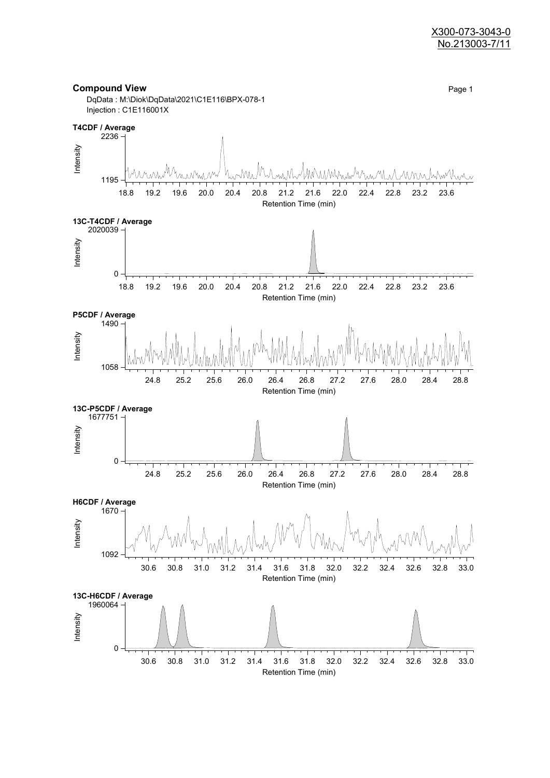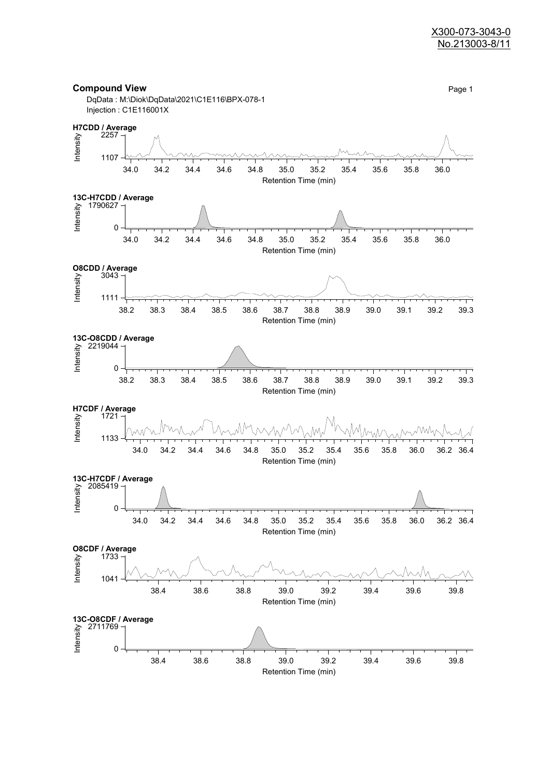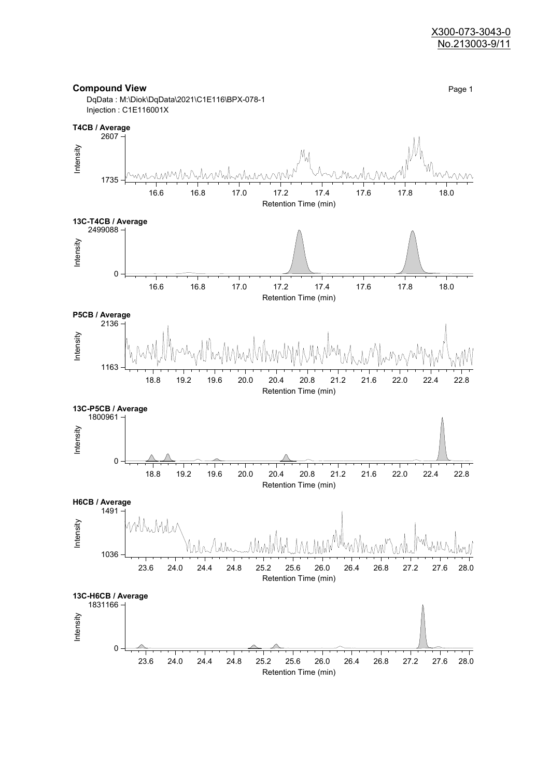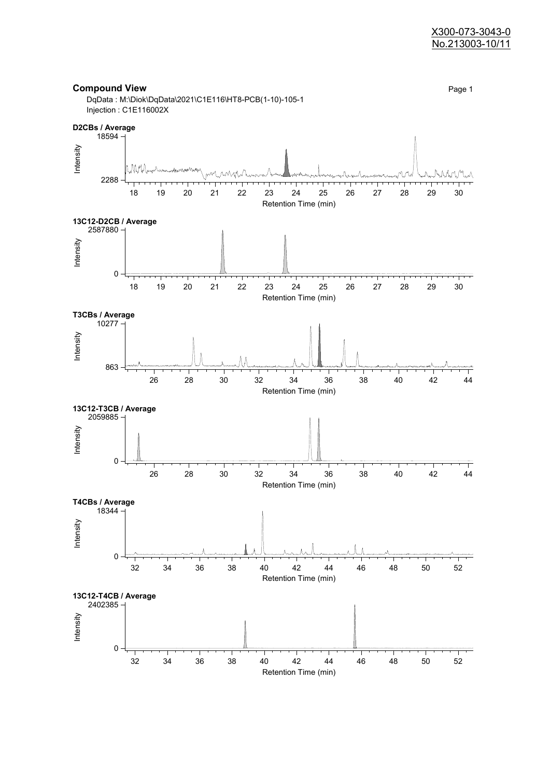